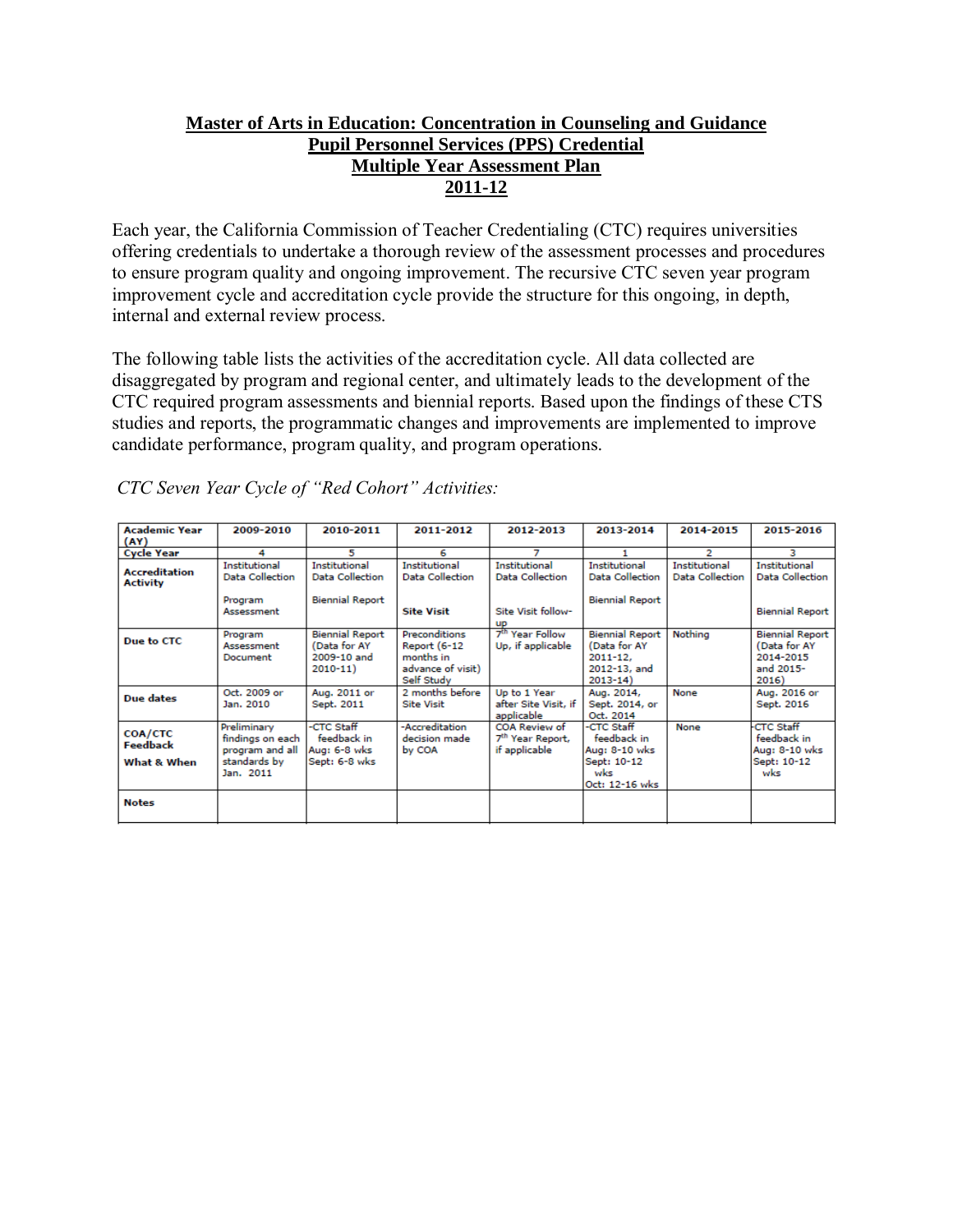# **Master of Arts in Education: Concentration in Counseling and Guidance Pupil Personnel Services (PPS) Credential Multiple Year Assessment Plan 2011-12**

Each year, the California Commission of Teacher Credentialing (CTC) requires universities offering credentials to undertake a thorough review of the assessment processes and procedures to ensure program quality and ongoing improvement. The recursive CTC seven year program improvement cycle and accreditation cycle provide the structure for this ongoing, in depth, internal and external review process.

The following table lists the activities of the accreditation cycle. All data collected are disaggregated by program and regional center, and ultimately leads to the development of the CTC required program assessments and biennial reports. Based upon the findings of these CTS studies and reports, the programmatic changes and improvements are implemented to improve candidate performance, program quality, and program operations.

| <b>Academic Year</b><br>(AY)            | 2009-2010                                                                       | 2010-2011                                                            | 2011-2012                                                                     | 2012-2013                                                             | 2013-2014                                                                             | 2014-2015                               | 2015-2016                                                                 |
|-----------------------------------------|---------------------------------------------------------------------------------|----------------------------------------------------------------------|-------------------------------------------------------------------------------|-----------------------------------------------------------------------|---------------------------------------------------------------------------------------|-----------------------------------------|---------------------------------------------------------------------------|
| <b>Cycle Year</b>                       | 4                                                                               | 5                                                                    | 6                                                                             | 7                                                                     |                                                                                       | 2                                       | з                                                                         |
| <b>Accreditation</b><br><b>Activity</b> | <b>Institutional</b><br><b>Data Collection</b>                                  | <b>Institutional</b><br><b>Data Collection</b>                       | Institutional<br><b>Data Collection</b>                                       | Institutional<br><b>Data Collection</b>                               | Institutional<br><b>Data Collection</b>                                               | Institutional<br><b>Data Collection</b> | Institutional<br><b>Data Collection</b>                                   |
|                                         | Program<br>Assessment                                                           | <b>Biennial Report</b>                                               | <b>Site Visit</b>                                                             | Site Visit follow-<br>up                                              | <b>Biennial Report</b>                                                                |                                         | <b>Biennial Report</b>                                                    |
| Due to CTC                              | Program<br>Assessment<br>Document                                               | <b>Biennial Report</b><br>(Data for AY<br>2009-10 and<br>$2010 - 11$ | Preconditions<br>Report (6-12<br>months in<br>advance of visit)<br>Self Study | 7 <sup>th</sup> Year Follow<br>Up, if applicable                      | <b>Biennial Report</b><br>(Data for AY<br>$2011 - 12.$<br>2012-13, and<br>$2013 - 14$ | Nothing                                 | <b>Biennial Report</b><br>(Data for AY<br>2014-2015<br>and 2015-<br>2016) |
| Due dates                               | Oct. 2009 or<br>Jan. 2010                                                       | Aug. 2011 or<br>Sept. 2011                                           | 2 months before<br><b>Site Visit</b>                                          | Up to 1 Year<br>after Site Visit, if<br>applicable                    | Aug. 2014,<br>Sept. 2014, or<br>Oct. 2014                                             | None                                    | Aug. 2016 or<br>Sept. 2016                                                |
| COA/CTC<br>Feedback<br>What & When      | Preliminary<br>findings on each<br>program and all<br>standards by<br>Jan. 2011 | -CTC Staff<br>feedback in<br>Aug: 6-8 wks<br>Sept: 6-8 wks           | -Accreditation<br>decision made<br>by COA                                     | <b>COA Review of</b><br>7 <sup>th</sup> Year Report,<br>if applicable | -CTC Staff<br>feedback in<br>Aug: 8-10 wks<br>Sept: 10-12<br>wks<br>Oct: 12-16 wks    | None                                    | <b>CTC Staff</b><br>feedback in<br>Aug: 8-10 wks<br>Sept: 10-12<br>wks    |
| <b>Notes</b>                            |                                                                                 |                                                                      |                                                                               |                                                                       |                                                                                       |                                         |                                                                           |

*CTC Seven Year Cycle of "Red Cohort" Activities:*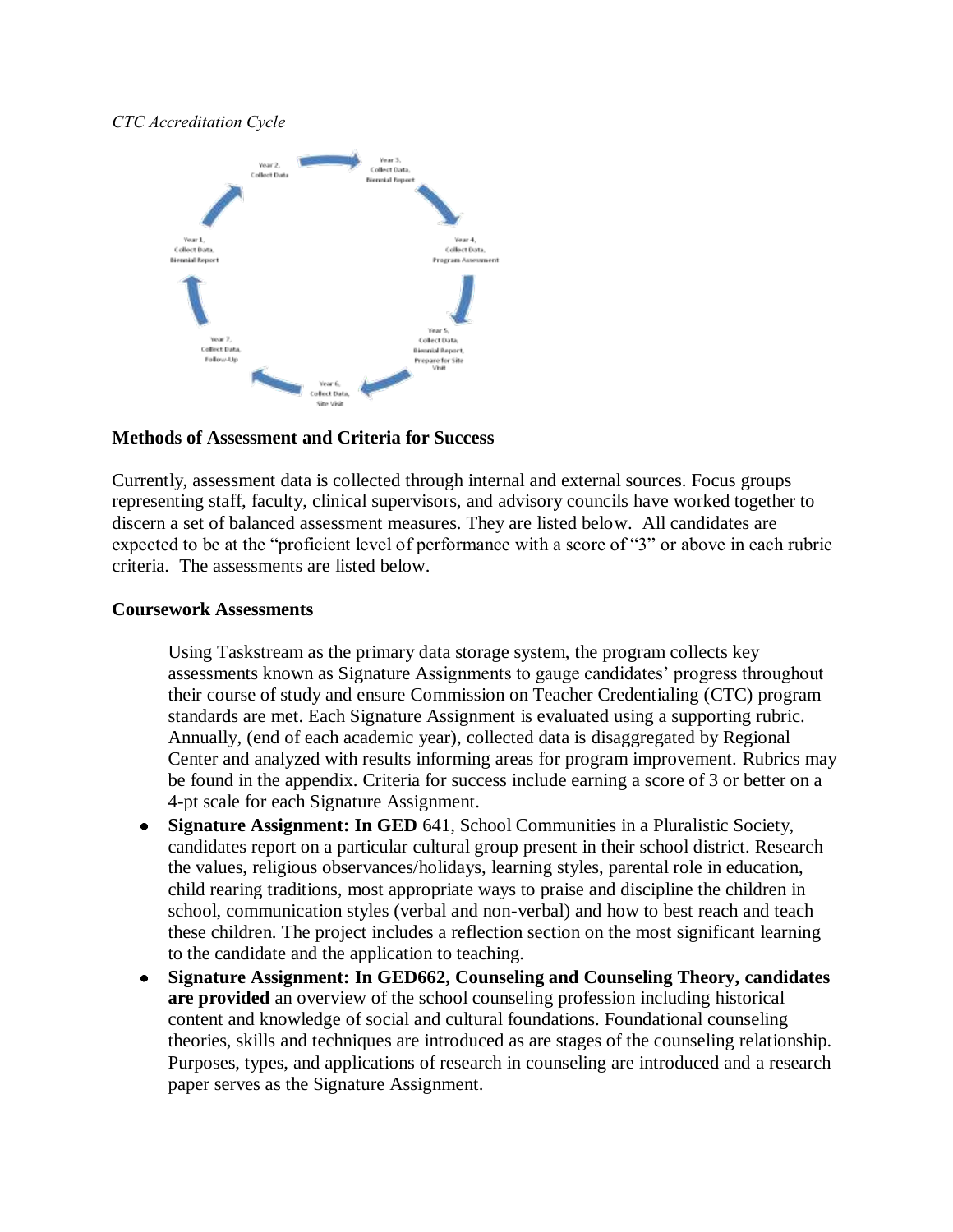## *CTC Accreditation Cycle*



### **Methods of Assessment and Criteria for Success**

Currently, assessment data is collected through internal and external sources. Focus groups representing staff, faculty, clinical supervisors, and advisory councils have worked together to discern a set of balanced assessment measures. They are listed below. All candidates are expected to be at the "proficient level of performance with a score of "3" or above in each rubric criteria. The assessments are listed below.

#### **Coursework Assessments**

Using Taskstream as the primary data storage system, the program collects key assessments known as Signature Assignments to gauge candidates' progress throughout their course of study and ensure Commission on Teacher Credentialing (CTC) program standards are met. Each Signature Assignment is evaluated using a supporting rubric. Annually, (end of each academic year), collected data is disaggregated by Regional Center and analyzed with results informing areas for program improvement. Rubrics may be found in the appendix. Criteria for success include earning a score of 3 or better on a 4-pt scale for each Signature Assignment.

- **Signature Assignment: In GED** 641, School Communities in a Pluralistic Society, candidates report on a particular cultural group present in their school district. Research the values, religious observances/holidays, learning styles, parental role in education, child rearing traditions, most appropriate ways to praise and discipline the children in school, communication styles (verbal and non-verbal) and how to best reach and teach these children. The project includes a reflection section on the most significant learning to the candidate and the application to teaching.
- **Signature Assignment: In GED662, Counseling and Counseling Theory, candidates**   $\bullet$ **are provided** an overview of the school counseling profession including historical content and knowledge of social and cultural foundations. Foundational counseling theories, skills and techniques are introduced as are stages of the counseling relationship. Purposes, types, and applications of research in counseling are introduced and a research paper serves as the Signature Assignment.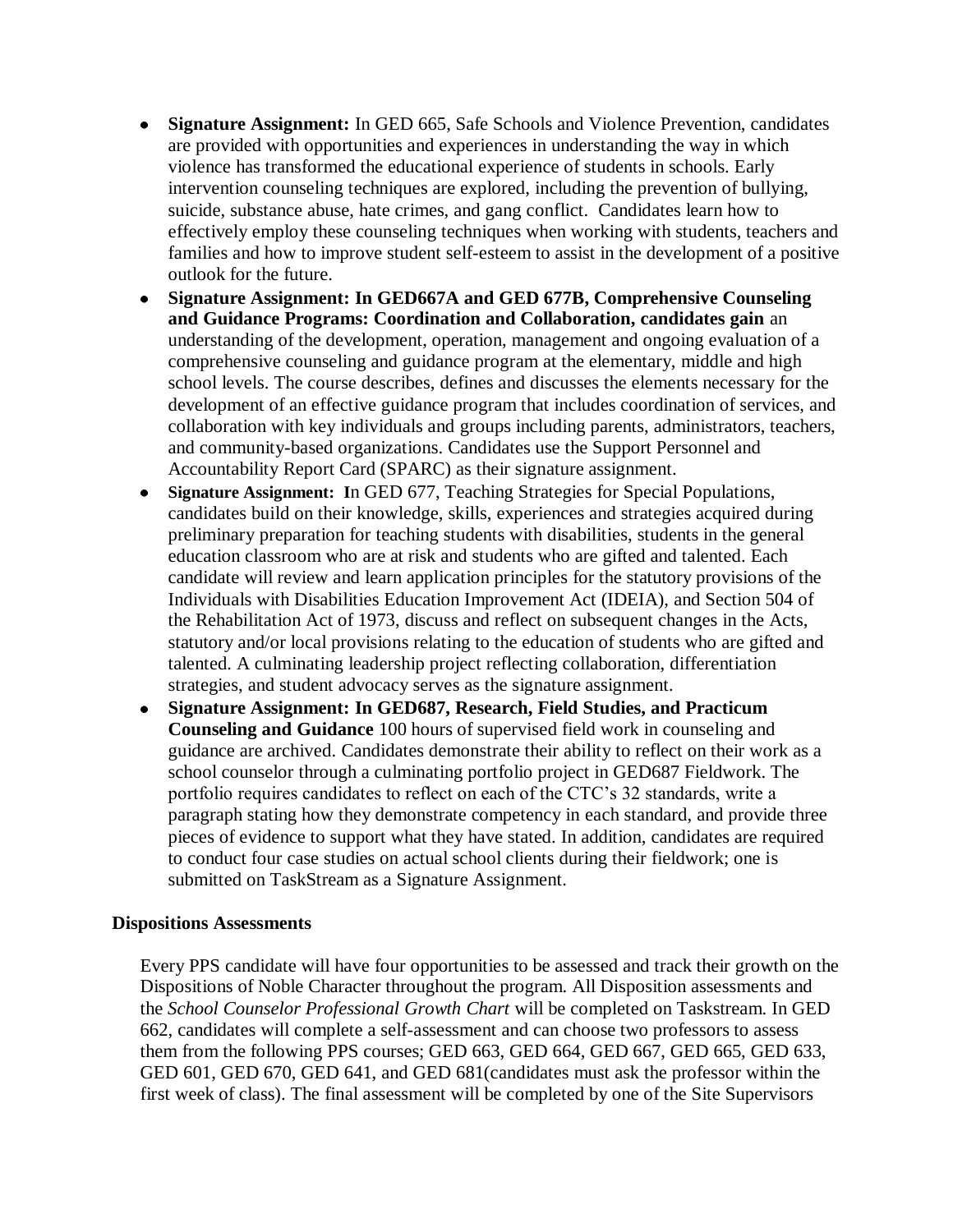- **Signature Assignment:** In GED 665, Safe Schools and Violence Prevention, candidates are provided with opportunities and experiences in understanding the way in which violence has transformed the educational experience of students in schools. Early intervention counseling techniques are explored, including the prevention of bullying, suicide, substance abuse, hate crimes, and gang conflict. Candidates learn how to effectively employ these counseling techniques when working with students, teachers and families and how to improve student self-esteem to assist in the development of a positive outlook for the future.
- **Signature Assignment: In GED667A and GED 677B, Comprehensive Counseling and Guidance Programs: Coordination and Collaboration, candidates gain** an understanding of the development, operation, management and ongoing evaluation of a comprehensive counseling and guidance program at the elementary, middle and high school levels. The course describes, defines and discusses the elements necessary for the development of an effective guidance program that includes coordination of services, and collaboration with key individuals and groups including parents, administrators, teachers, and community-based organizations. Candidates use the Support Personnel and Accountability Report Card (SPARC) as their signature assignment.
- **Signature Assignment: I**n GED 677, Teaching Strategies for Special Populations,  $\bullet$ candidates build on their knowledge, skills, experiences and strategies acquired during preliminary preparation for teaching students with disabilities, students in the general education classroom who are at risk and students who are gifted and talented. Each candidate will review and learn application principles for the statutory provisions of the Individuals with Disabilities Education Improvement Act (IDEIA), and Section 504 of the Rehabilitation Act of 1973, discuss and reflect on subsequent changes in the Acts, statutory and/or local provisions relating to the education of students who are gifted and talented. A culminating leadership project reflecting collaboration, differentiation strategies, and student advocacy serves as the signature assignment.
- **Signature Assignment: In GED687, Research, Field Studies, and Practicum Counseling and Guidance** 100 hours of supervised field work in counseling and guidance are archived. Candidates demonstrate their ability to reflect on their work as a school counselor through a culminating portfolio project in GED687 Fieldwork. The portfolio requires candidates to reflect on each of the CTC's 32 standards, write a paragraph stating how they demonstrate competency in each standard, and provide three pieces of evidence to support what they have stated. In addition, candidates are required to conduct four case studies on actual school clients during their fieldwork; one is submitted on TaskStream as a Signature Assignment.

#### **Dispositions Assessments**

Every PPS candidate will have four opportunities to be assessed and track their growth on the Dispositions of Noble Character throughout the program. All Disposition assessments and the *School Counselor Professional Growth Chart* will be completed on Taskstream. In GED 662, candidates will complete a self-assessment and can choose two professors to assess them from the following PPS courses; GED 663, GED 664, GED 667, GED 665, GED 633, GED 601, GED 670, GED 641, and GED 681(candidates must ask the professor within the first week of class). The final assessment will be completed by one of the Site Supervisors